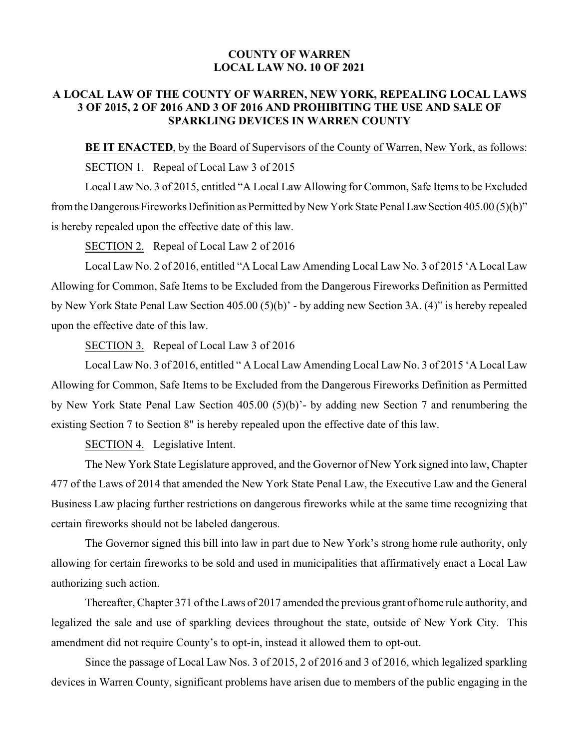# **COUNTY OF WARREN LOCAL LAW NO. 10 OF 2021**

# **A LOCAL LAW OF THE COUNTY OF WARREN, NEW YORK, REPEALING LOCAL LAWS 3 OF 2015, 2 OF 2016 AND 3 OF 2016 AND PROHIBITING THE USE AND SALE OF SPARKLING DEVICES IN WARREN COUNTY**

## **BE IT ENACTED**, by the Board of Supervisors of the County of Warren, New York, as follows:

SECTION 1. Repeal of Local Law 3 of 2015

Local Law No. 3 of 2015, entitled "A Local Law Allowing for Common, Safe Items to be Excluded fromthe Dangerous Fireworks Definition as Permitted by New York State Penal LawSection 405.00 (5)(b)" is hereby repealed upon the effective date of this law.

SECTION 2. Repeal of Local Law 2 of 2016

Local Law No. 2 of 2016, entitled "A Local Law Amending Local Law No. 3 of 2015 'A Local Law Allowing for Common, Safe Items to be Excluded from the Dangerous Fireworks Definition as Permitted by New York State Penal Law Section 405.00 (5)(b)' - by adding new Section 3A. (4)" is hereby repealed upon the effective date of this law.

SECTION 3. Repeal of Local Law 3 of 2016

Local Law No. 3 of 2016, entitled " A Local Law Amending Local Law No. 3 of 2015 'A Local Law Allowing for Common, Safe Items to be Excluded from the Dangerous Fireworks Definition as Permitted by New York State Penal Law Section 405.00 (5)(b)'- by adding new Section 7 and renumbering the existing Section 7 to Section 8" is hereby repealed upon the effective date of this law.

SECTION 4. Legislative Intent.

The New York State Legislature approved, and the Governor of New York signed into law, Chapter 477 of the Laws of 2014 that amended the New York State Penal Law, the Executive Law and the General Business Law placing further restrictions on dangerous fireworks while at the same time recognizing that certain fireworks should not be labeled dangerous.

The Governor signed this bill into law in part due to New York's strong home rule authority, only allowing for certain fireworks to be sold and used in municipalities that affirmatively enact a Local Law authorizing such action.

Thereafter, Chapter 371 of the Laws of 2017 amended the previous grant of home rule authority, and legalized the sale and use of sparkling devices throughout the state, outside of New York City. This amendment did not require County's to opt-in, instead it allowed them to opt-out.

Since the passage of Local Law Nos. 3 of 2015, 2 of 2016 and 3 of 2016, which legalized sparkling devices in Warren County, significant problems have arisen due to members of the public engaging in the